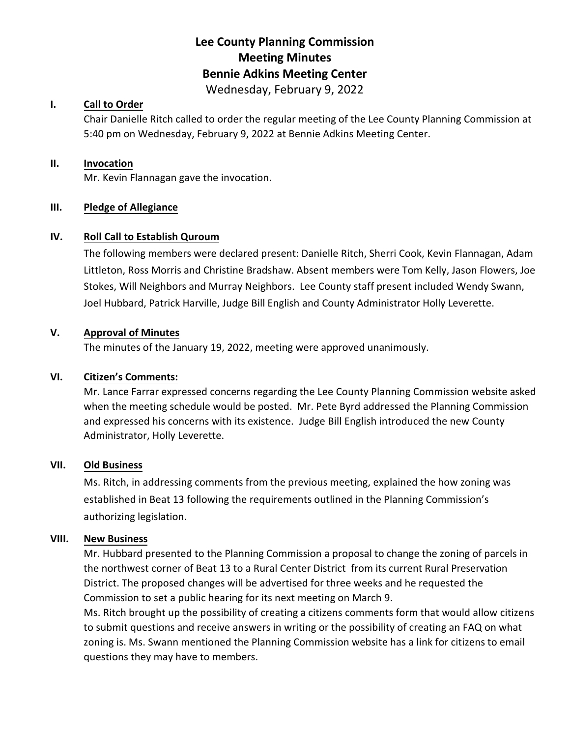## **Lee County Planning Commission Meeting Minutes Bennie Adkins Meeting Center** Wednesday, February 9, 2022

## **I. Call to Order**

Chair Danielle Ritch called to order the regular meeting of the Lee County Planning Commission at 5:40 pm on Wednesday, February 9, 2022 at Bennie Adkins Meeting Center.

#### **II. Invocation**

Mr. Kevin Flannagan gave the invocation.

#### **III. Pledge of Allegiance**

### **IV. Roll Call to Establish Quroum**

The following members were declared present: Danielle Ritch, Sherri Cook, Kevin Flannagan, Adam Littleton, Ross Morris and Christine Bradshaw. Absent members were Tom Kelly, Jason Flowers, Joe Stokes, Will Neighbors and Murray Neighbors. Lee County staff present included Wendy Swann, Joel Hubbard, Patrick Harville, Judge Bill English and County Administrator Holly Leverette.

#### **V. Approval of Minutes**

The minutes of the January 19, 2022, meeting were approved unanimously.

#### **VI. Citizen's Comments:**

Mr. Lance Farrar expressed concerns regarding the Lee County Planning Commission website asked when the meeting schedule would be posted. Mr. Pete Byrd addressed the Planning Commission and expressed his concerns with its existence. Judge Bill English introduced the new County Administrator, Holly Leverette.

#### **VII. Old Business**

Ms. Ritch, in addressing comments from the previous meeting, explained the how zoning was established in Beat 13 following the requirements outlined in the Planning Commission's authorizing legislation.

#### **VIII. New Business**

Mr. Hubbard presented to the Planning Commission a proposal to change the zoning of parcels in the northwest corner of Beat 13 to a Rural Center District from its current Rural Preservation District. The proposed changes will be advertised for three weeks and he requested the Commission to set a public hearing for its next meeting on March 9.

Ms. Ritch brought up the possibility of creating a citizens comments form that would allow citizens to submit questions and receive answers in writing or the possibility of creating an FAQ on what zoning is. Ms. Swann mentioned the Planning Commission website has a link for citizens to email questions they may have to members.